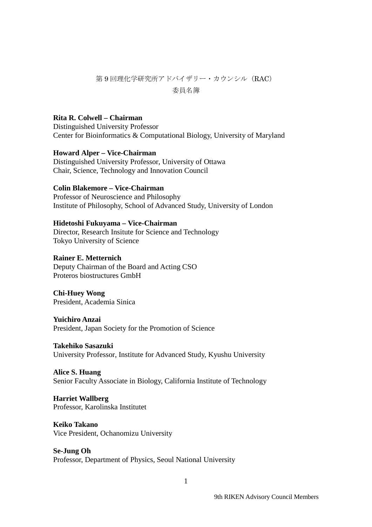## 第9回理化学研究所アドバイザリー·カウンシル (RAC) 委員名簿

## **Rita R. Colwell – Chairman**

Distinguished University Professor Center for Bioinformatics & Computational Biology, University of Maryland

#### **Howard Alper – Vice-Chairman**

Distinguished University Professor, University of Ottawa Chair, Science, Technology and Innovation Council

### **Colin Blakemore – Vice-Chairman**

Professor of Neuroscience and Philosophy Institute of Philosophy, School of Advanced Study, University of London

#### **Hidetoshi Fukuyama – Vice-Chairman**

Director, Research Insitute for Science and Technology Tokyo University of Science

#### **Rainer E. Metternich**

Deputy Chairman of the Board and Acting CSO Proteros biostructures GmbH

**Chi-Huey Wong** President, Academia Sinica

#### **Yuichiro Anzai**

President, Japan Society for the Promotion of Science

#### **Takehiko Sasazuki**

University Professor, Institute for Advanced Study, Kyushu University

#### **Alice S. Huang**

Senior Faculty Associate in Biology, California Institute of Technology

# **Harriet Wallberg**

Professor, Karolinska Institutet

## **Keiko Takano**

Vice President, Ochanomizu University

#### **Se-Jung Oh**

Professor, Department of Physics, Seoul National University